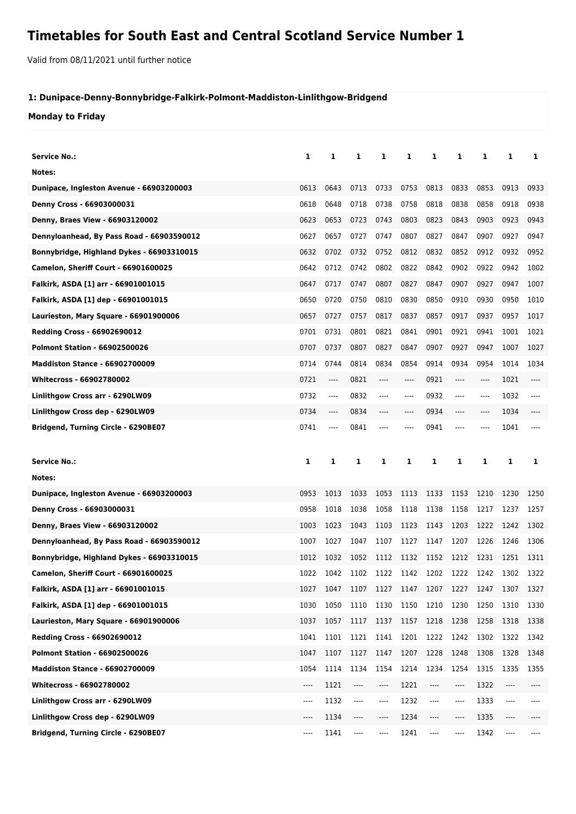## **Timetables for South East and Central Scotland Service Number 1**

Valid from 08/11/2021 until further notice

## **1: Dunipace-Denny-Bonnybridge-Falkirk-Polmont-Maddiston-Linlithgow-Bridgend**

**Monday to Friday**

| <b>Service No.:</b>                                                    | 1            | 1                             | 1                                     | 1            | 1                             | 1             | 1            | 1            | 1            | 1    |
|------------------------------------------------------------------------|--------------|-------------------------------|---------------------------------------|--------------|-------------------------------|---------------|--------------|--------------|--------------|------|
| Notes:                                                                 |              |                               |                                       |              |                               |               |              |              |              |      |
| Dunipace, Ingleston Avenue - 66903200003                               | 0613         | 0643                          | 0713                                  | 0733         | 0753                          | 0813          | 0833         | 0853         | 0913         | 0933 |
| Denny Cross - 66903000031                                              | 0618         | 0648                          | 0718                                  | 0738         | 0758                          | 0818          | 0838         | 0858         | 0918         | 0938 |
| Denny, Braes View - 66903120002                                        | 0623         | 0653                          | 0723                                  | 0743         | 0803                          | 0823          | 0843         | 0903         | 0923         | 0943 |
| Dennyloanhead, By Pass Road - 66903590012                              | 0627         | 0657                          | 0727                                  | 0747         | 0807                          | 0827          | 0847         | 0907         | 0927         | 0947 |
| Bonnybridge, Highland Dykes - 66903310015                              | 0632         | 0702                          | 0732                                  | 0752         | 0812                          | 0832          | 0852         | 0912         | 0932         | 0952 |
| Camelon, Sheriff Court - 66901600025                                   | 0642         | 0712                          | 0742                                  | 0802         | 0822                          | 0842          | 0902         | 0922         | 0942         | 1002 |
| Falkirk, ASDA [1] arr - 66901001015                                    | 0647         | 0717                          | 0747                                  | 0807         | 0827                          | 0847          | 0907         | 0927         | 0947         | 1007 |
| Falkirk, ASDA [1] dep - 66901001015                                    | 0650         | 0720                          | 0750                                  | 0810         | 0830                          | 0850          | 0910         | 0930         | 0950         | 1010 |
| Laurieston, Mary Square - 66901900006                                  | 0657         | 0727                          | 0757                                  | 0817         | 0837                          | 0857          | 0917         | 0937         | 0957         | 1017 |
| Redding Cross - 66902690012                                            | 0701         | 0731                          | 0801                                  | 0821         | 0841                          | 0901          | 0921         | 0941         | 1001         | 1021 |
| <b>Polmont Station - 66902500026</b>                                   | 0707         | 0737                          | 0807                                  | 0827         | 0847                          | 0907          | 0927         | 0947         | 1007         | 1027 |
| <b>Maddiston Stance - 66902700009</b>                                  | 0714         | 0744                          | 0814                                  | 0834         | 0854                          | 0914          | 0934         | 0954         | 1014         | 1034 |
| <b>Whitecross - 66902780002</b>                                        | 0721         | ----                          | 0821                                  | ----         | $---$                         | 0921          | ----         | $-----$      | 1021         | ---- |
| Linlithgow Cross arr - 6290LW09                                        | 0732         | $\cdots$                      | 0832                                  | ----         | $---$                         | 0932          | ----         | $---$        | 1032         | ---- |
| Linlithgow Cross dep - 6290LW09                                        | 0734         | $\hspace{1.5cm} \textbf{---}$ | 0834                                  | ----         | $---$                         | 0934          | ----         | ----         | 1034         | ---- |
| Bridgend, Turning Circle - 6290BE07                                    | 0741         | $\cdots$                      | 0841                                  | ----         |                               | 0941          | ----         | ----         | 1041         |      |
|                                                                        |              |                               |                                       |              |                               |               |              |              |              |      |
|                                                                        |              |                               |                                       |              |                               |               |              |              |              |      |
| <b>Service No.:</b>                                                    | 1            | 1                             | 1                                     | 1            | 1                             | 1             | 1            | 1            | 1            | 1    |
| Notes:                                                                 |              |                               |                                       |              |                               |               |              |              |              |      |
|                                                                        | 0953         | 1013                          | 1033                                  | 1053         | 1113                          | 1133          | 1153         | 1210         | 1230         | 1250 |
| Dunipace, Ingleston Avenue - 66903200003                               | 0958         | 1018                          | 1038                                  | 1058         | 1118                          | 1138          | 1158         | 1217         | 1237         | 1257 |
| Denny Cross - 66903000031                                              | 1003         | 1023                          | 1043                                  | 1103         | 1123                          | 1143          | 1203         | 1222         | 1242         | 1302 |
| Denny, Braes View - 66903120002                                        | 1007         | 1027                          | 1047                                  | 1107         | 1127                          | 1147          | 1207         | 1226         | 1246         | 1306 |
| Dennyloanhead, By Pass Road - 66903590012                              | 1012         | 1032                          | 1052                                  | 1112         | 1132                          | 1152          | 1212         | 1231         | 1251         | 1311 |
| Bonnybridge, Highland Dykes - 66903310015                              | 1022         | 1042                          |                                       |              | 1102 1122 1142 1202 1222 1242 |               |              |              | 1302         | 1322 |
| <b>Camelon, Sheriff Court - 66901600025</b>                            |              |                               |                                       |              |                               |               |              |              |              |      |
| Falkirk, ASDA [1] arr - 66901001015                                    | 1027         | 1047                          | 1107                                  | 1127         | 1147                          | 1207          | 1227         | 1247         | 1307         | 1327 |
| Falkirk, ASDA [1] dep - 66901001015                                    | 1030         | 1050                          | 1110                                  | 1130         | 1150                          | 1210          | 1230         | 1250         | 1310         | 1330 |
| Laurieston, Mary Square - 66901900006                                  | 1037         | 1057                          | 1117                                  | 1137         | 1157                          | 1218          | 1238         | 1258         | 1318         | 1338 |
| <b>Redding Cross - 66902690012</b>                                     | 1041         | 1101                          | 1121                                  | 1141         | 1201                          | 1222          | 1242         | 1302         | 1322         | 1342 |
| <b>Polmont Station - 66902500026</b>                                   | 1047         | 1107                          | 1127                                  | 1147         | 1207                          | 1228          | 1248         | 1308         | 1328         | 1348 |
| <b>Maddiston Stance - 66902700009</b>                                  | 1054         | 1114                          | 1134                                  | 1154         | 1214                          | 1234          | 1254         | 1315         | 1335         | 1355 |
| Whitecross - 66902780002                                               | ----         | 1121                          | ----                                  | ----         | 1221                          | ----          | ----         | 1322         | ----         |      |
| Linlithgow Cross arr - 6290LW09                                        | ----         | 1132                          | ----                                  | ----         | 1232                          | ----          | ----         | 1333         | ----         |      |
| Linlithgow Cross dep - 6290LW09<br>Bridgend, Turning Circle - 6290BE07 | ----<br>---- | 1134<br>1141                  | ----<br>$\hspace{1.5cm} \textbf{---}$ | ----<br>---- | 1234<br>1241                  | ----<br>$---$ | ----<br>---- | 1335<br>1342 | ----<br>---- |      |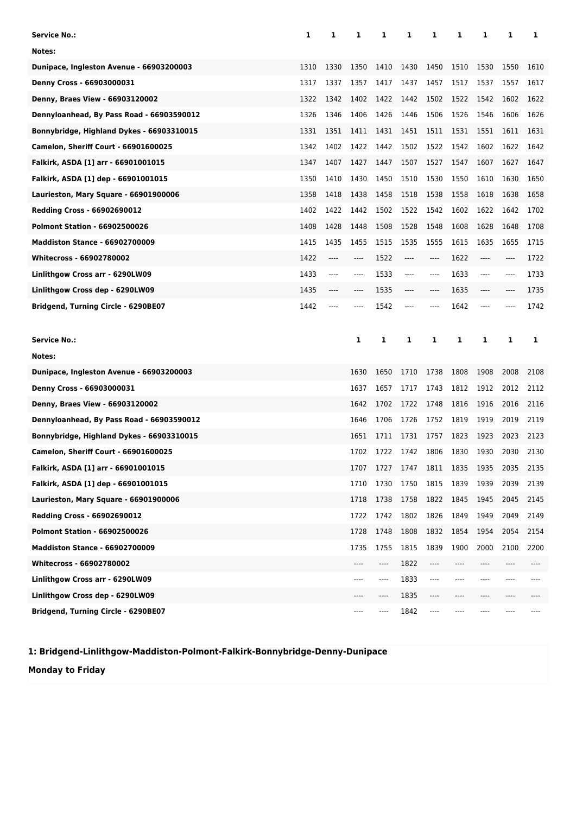| Service No.:                              | 1    | 1     | 1    | 1                             | 1     | 1    | 1    | 1     | 1    | 1    |
|-------------------------------------------|------|-------|------|-------------------------------|-------|------|------|-------|------|------|
| Notes:                                    |      |       |      |                               |       |      |      |       |      |      |
| Dunipace, Ingleston Avenue - 66903200003  | 1310 | 1330  | 1350 | 1410                          | 1430  | 1450 | 1510 | 1530  | 1550 | 1610 |
| Denny Cross - 66903000031                 | 1317 | 1337  | 1357 | 1417                          | 1437  | 1457 | 1517 | 1537  | 1557 | 1617 |
| Denny, Braes View - 66903120002           | 1322 | 1342  | 1402 | 1422                          | 1442  | 1502 | 1522 | 1542  | 1602 | 1622 |
| Dennyloanhead, By Pass Road - 66903590012 | 1326 | 1346  | 1406 | 1426                          | 1446  | 1506 | 1526 | 1546  | 1606 | 1626 |
| Bonnybridge, Highland Dykes - 66903310015 | 1331 | 1351  | 1411 | 1431                          | 1451  | 1511 | 1531 | 1551  | 1611 | 1631 |
| Camelon, Sheriff Court - 66901600025      | 1342 | 1402  | 1422 | 1442                          | 1502  | 1522 | 1542 | 1602  | 1622 | 1642 |
| Falkirk, ASDA [1] arr - 66901001015       | 1347 | 1407  | 1427 | 1447                          | 1507  | 1527 | 1547 | 1607  | 1627 | 1647 |
| Falkirk, ASDA [1] dep - 66901001015       | 1350 | 1410  | 1430 | 1450                          | 1510  | 1530 | 1550 | 1610  | 1630 | 1650 |
| Laurieston, Mary Square - 66901900006     | 1358 | 1418  | 1438 | 1458                          | 1518  | 1538 | 1558 | 1618  | 1638 | 1658 |
| <b>Redding Cross - 66902690012</b>        | 1402 | 1422  | 1442 | 1502                          | 1522  | 1542 | 1602 | 1622  | 1642 | 1702 |
| <b>Polmont Station - 66902500026</b>      | 1408 | 1428  | 1448 | 1508                          | 1528  | 1548 | 1608 | 1628  | 1648 | 1708 |
| <b>Maddiston Stance - 66902700009</b>     | 1415 | 1435  | 1455 | 1515                          | 1535  | 1555 | 1615 | 1635  | 1655 | 1715 |
| <b>Whitecross - 66902780002</b>           | 1422 | $---$ | ---- | 1522                          | $---$ | ---- | 1622 | $---$ | ---- | 1722 |
| Linlithgow Cross arr - 6290LW09           | 1433 | $---$ | ---- | 1533                          | $---$ | ---- | 1633 | $---$ | ---- | 1733 |
| Linlithgow Cross dep - 6290LW09           | 1435 | ----  | ---- | 1535                          | ----  | ---- | 1635 | $---$ | ---- | 1735 |
| Bridgend, Turning Circle - 6290BE07       | 1442 | ----  | ---- | 1542                          |       | ---- | 1642 | $---$ |      | 1742 |
|                                           |      |       |      |                               |       |      |      |       |      |      |
|                                           |      |       |      |                               |       |      |      |       |      |      |
| <b>Service No.:</b>                       |      |       | 1    | 1                             | 1     | 1    | 1    | 1     | 1    | 1    |
| Notes:                                    |      |       |      |                               |       |      |      |       |      |      |
| Dunipace, Ingleston Avenue - 66903200003  |      |       | 1630 | 1650                          | 1710  | 1738 | 1808 | 1908  | 2008 | 2108 |
| Denny Cross - 66903000031                 |      |       | 1637 | 1657                          | 1717  | 1743 | 1812 | 1912  | 2012 | 2112 |
| Denny, Braes View - 66903120002           |      |       | 1642 | 1702                          | 1722  | 1748 | 1816 | 1916  | 2016 | 2116 |
| Dennyloanhead, By Pass Road - 66903590012 |      |       | 1646 | 1706                          | 1726  | 1752 | 1819 | 1919  | 2019 | 2119 |
| Bonnybridge, Highland Dykes - 66903310015 |      |       | 1651 | 1711                          | 1731  | 1757 | 1823 | 1923  | 2023 | 2123 |
| Camelon, Sheriff Court - 66901600025      |      |       | 1702 | 1722                          | 1742  | 1806 | 1830 | 1930  | 2030 | 2130 |
| Falkirk, ASDA [1] arr - 66901001015       |      |       | 1707 | 1727                          | 1747  | 1811 | 1835 | 1935  | 2035 | 2135 |
| Falkirk, ASDA [1] dep - 66901001015       |      |       | 1710 | 1730                          | 1750  | 1815 | 1839 | 1939  | 2039 | 2139 |
| Laurieston, Mary Square - 66901900006     |      |       | 1718 | 1738                          | 1758  | 1822 | 1845 | 1945  | 2045 | 2145 |
| <b>Redding Cross - 66902690012</b>        |      |       | 1722 | 1742                          | 1802  | 1826 | 1849 | 1949  | 2049 | 2149 |
| <b>Polmont Station - 66902500026</b>      |      |       | 1728 | 1748                          | 1808  | 1832 | 1854 | 1954  | 2054 | 2154 |
| <b>Maddiston Stance - 66902700009</b>     |      |       | 1735 | 1755                          | 1815  | 1839 | 1900 | 2000  | 2100 | 2200 |
| Whitecross - 66902780002                  |      |       | ---- | $\hspace{1.5cm} \textbf{---}$ | 1822  | ---- | ---- | ----  | ---- |      |
| Linlithgow Cross arr - 6290LW09           |      |       | ---- | ----                          | 1833  | ---- | ---- |       |      |      |
| Linlithgow Cross dep - 6290LW09           |      |       |      | ----                          | 1835  |      | ---- |       |      |      |

**1: Bridgend-Linlithgow-Maddiston-Polmont-Falkirk-Bonnybridge-Denny-Dunipace**

**Monday to Friday**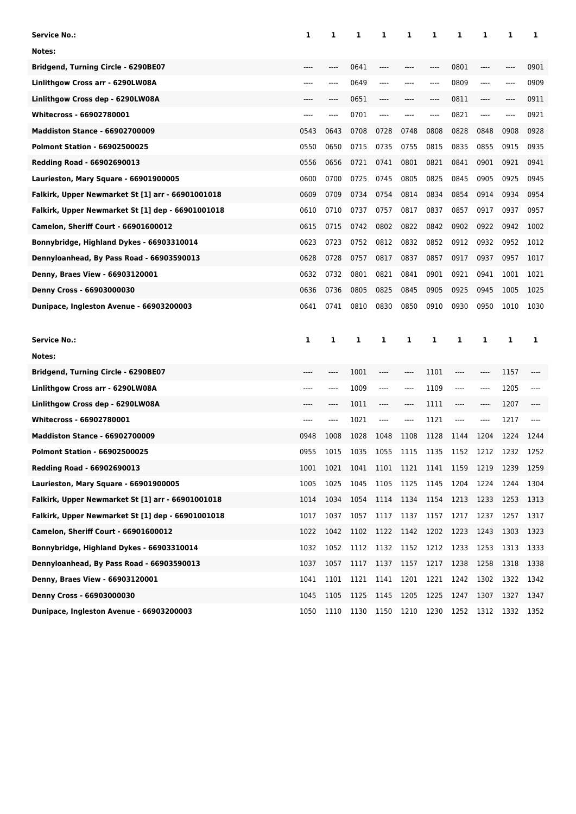| Service No.:                                      | 1     | 1    | 1    | 1              | 1         | 1    | 1       | 1       | 1    | 1            |
|---------------------------------------------------|-------|------|------|----------------|-----------|------|---------|---------|------|--------------|
| Notes:                                            |       |      |      |                |           |      |         |         |      |              |
| Bridgend, Turning Circle - 6290BE07               |       |      | 0641 |                |           | ---- | 0801    | $---$   |      | 0901         |
| Linlithgow Cross arr - 6290LW08A                  | ----  | ---- | 0649 | ----           |           | ---- | 0809    | $---$   | ---- | 0909         |
| Linlithgow Cross dep - 6290LW08A                  | ----  | ---- | 0651 | ----           |           | ---- | 0811    | $---$   | ---- | 0911         |
| Whitecross - 66902780001                          | $---$ | ---- | 0701 | ----           |           | ---- | 0821    | $---$   | ---- | 0921         |
| <b>Maddiston Stance - 66902700009</b>             | 0543  | 0643 | 0708 | 0728           | 0748      | 0808 | 0828    | 0848    | 0908 | 0928         |
| <b>Polmont Station - 66902500025</b>              | 0550  | 0650 | 0715 | 0735           | 0755      | 0815 | 0835    | 0855    | 0915 | 0935         |
| Redding Road - 66902690013                        | 0556  | 0656 | 0721 | 0741           | 0801      | 0821 | 0841    | 0901    | 0921 | 0941         |
| Laurieston, Mary Square - 66901900005             | 0600  | 0700 | 0725 | 0745           | 0805      | 0825 | 0845    | 0905    | 0925 | 0945         |
| Falkirk, Upper Newmarket St [1] arr - 66901001018 | 0609  | 0709 | 0734 | 0754           | 0814      | 0834 | 0854    | 0914    | 0934 | 0954         |
| Falkirk, Upper Newmarket St [1] dep - 66901001018 | 0610  | 0710 | 0737 | 0757           | 0817      | 0837 | 0857    | 0917    | 0937 | 0957         |
| Camelon, Sheriff Court - 66901600012              | 0615  | 0715 | 0742 | 0802           | 0822      | 0842 | 0902    | 0922    | 0942 | 1002         |
| Bonnybridge, Highland Dykes - 66903310014         | 0623  | 0723 | 0752 | 0812           | 0832      | 0852 | 0912    | 0932    | 0952 | 1012         |
| Dennyloanhead, By Pass Road - 66903590013         | 0628  | 0728 | 0757 | 0817           | 0837      | 0857 | 0917    | 0937    | 0957 | 1017         |
| Denny, Braes View - 66903120001                   | 0632  | 0732 | 0801 | 0821           | 0841      | 0901 | 0921    | 0941    | 1001 | 1021         |
| Denny Cross - 66903000030                         | 0636  | 0736 | 0805 | 0825           | 0845      | 0905 | 0925    | 0945    | 1005 | 1025         |
| Dunipace, Ingleston Avenue - 66903200003          | 0641  | 0741 | 0810 | 0830           | 0850      | 0910 | 0930    | 0950    | 1010 | 1030         |
|                                                   |       |      |      |                |           |      |         |         |      |              |
|                                                   |       |      |      |                |           |      |         |         |      |              |
| <b>Service No.:</b>                               | 1     | 1    | 1    | 1              | 1         | 1    | 1       | 1       | 1    | 1            |
| Notes:                                            |       |      |      |                |           |      |         |         |      |              |
| Bridgend, Turning Circle - 6290BE07               | ----  | ---- | 1001 | ----           | ----      | 1101 | $-----$ | ----    | 1157 |              |
| Linlithgow Cross arr - 6290LW08A                  | ----  | ---- | 1009 | ----           | ----      | 1109 | $-----$ | $-----$ | 1205 |              |
| Linlithgow Cross dep - 6290LW08A                  |       | ---- | 1011 | ----           | ----      | 1111 | ----    | $---$   | 1207 |              |
| <b>Whitecross - 66902780001</b>                   | ----  | ---- | 1021 | ----           | ----      | 1121 | $-----$ | $---$   | 1217 |              |
| <b>Maddiston Stance - 66902700009</b>             | 0948  | 1008 | 1028 | 1048           | 1108      | 1128 | 1144    | 1204    | 1224 | 1244         |
| <b>Polmont Station - 66902500025</b>              | 0955  | 1015 | 1035 | 1055           | 1115      | 1135 | 1152    | 1212    | 1232 | 1252         |
| Redding Road - 66902690013                        | 1001  | 1021 | 1041 | 1101 1121 1141 |           |      | 1159    | 1219    | 1239 | 1259         |
| Laurieston, Mary Square - 66901900005             | 1005  | 1025 | 1045 | 1105           | 1125      | 1145 | 1204    | 1224    | 1244 | 1304         |
| Falkirk, Upper Newmarket St [1] arr - 66901001018 | 1014  | 1034 | 1054 | 1114           | 1134      | 1154 | 1213    | 1233    | 1253 | 1313         |
| Falkirk, Upper Newmarket St [1] dep - 66901001018 | 1017  | 1037 | 1057 | 1117           | 1137      | 1157 | 1217    | 1237    | 1257 | 1317         |
| <b>Camelon, Sheriff Court - 66901600012</b>       | 1022  | 1042 | 1102 | 1122           | 1142      | 1202 | 1223    | 1243    | 1303 | 1323         |
| Bonnybridge, Highland Dykes - 66903310014         | 1032  | 1052 | 1112 | 1132           | 1152      | 1212 | 1233    | 1253    | 1313 | 1333         |
| Dennyloanhead, By Pass Road - 66903590013         | 1037  | 1057 | 1117 | 1137           | 1157 1217 |      | 1238    | 1258    | 1318 |              |
| Denny, Braes View - 66903120001                   | 1041  | 1101 | 1121 | 1141           | 1201      | 1221 | 1242    | 1302    | 1322 | 1342         |
| Denny Cross - 66903000030                         | 1045  | 1105 | 1125 | 1145           | 1205      | 1225 | 1247    | 1307    | 1327 | 1338<br>1347 |